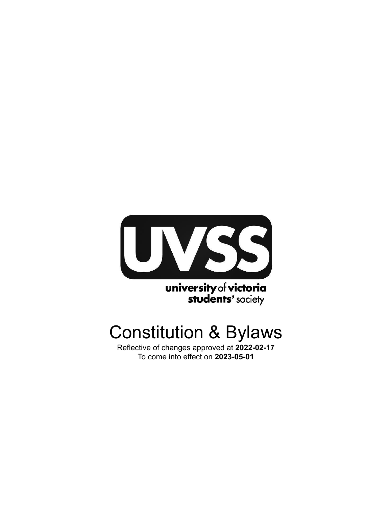

**university of victoria**<br>**students'** society

# Constitution & Bylaws

Reflective of changes approved at **2022-02-17** To come into effect on **2023-05-01**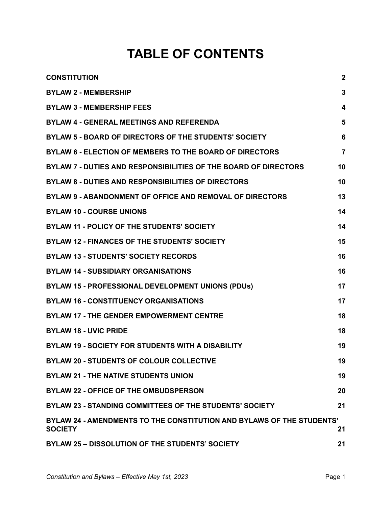# **TABLE OF CONTENTS**

| <b>CONSTITUTION</b>                                                                     | $\boldsymbol{2}$ |
|-----------------------------------------------------------------------------------------|------------------|
| <b>BYLAW 2 - MEMBERSHIP</b>                                                             | 3                |
| <b>BYLAW 3 - MEMBERSHIP FEES</b>                                                        | 4                |
| <b>BYLAW 4 - GENERAL MEETINGS AND REFERENDA</b>                                         | 5                |
| BYLAW 5 - BOARD OF DIRECTORS OF THE STUDENTS' SOCIETY                                   | 6                |
| BYLAW 6 - ELECTION OF MEMBERS TO THE BOARD OF DIRECTORS                                 | $\overline{7}$   |
| BYLAW 7 - DUTIES AND RESPONSIBILITIES OF THE BOARD OF DIRECTORS                         | 10               |
| <b>BYLAW 8 - DUTIES AND RESPONSIBILITIES OF DIRECTORS</b>                               | 10               |
| BYLAW 9 - ABANDONMENT OF OFFICE AND REMOVAL OF DIRECTORS                                | 13               |
| <b>BYLAW 10 - COURSE UNIONS</b>                                                         | 14               |
| <b>BYLAW 11 - POLICY OF THE STUDENTS' SOCIETY</b>                                       | 14               |
| <b>BYLAW 12 - FINANCES OF THE STUDENTS' SOCIETY</b>                                     | 15               |
| <b>BYLAW 13 - STUDENTS' SOCIETY RECORDS</b>                                             | 16               |
| <b>BYLAW 14 - SUBSIDIARY ORGANISATIONS</b>                                              | 16               |
| BYLAW 15 - PROFESSIONAL DEVELOPMENT UNIONS (PDUs)                                       | 17               |
| <b>BYLAW 16 - CONSTITUENCY ORGANISATIONS</b>                                            | 17               |
| <b>BYLAW 17 - THE GENDER EMPOWERMENT CENTRE</b>                                         | 18               |
| <b>BYLAW 18 - UVIC PRIDE</b>                                                            | 18               |
| <b>BYLAW 19 - SOCIETY FOR STUDENTS WITH A DISABILITY</b>                                | 19               |
| <b>BYLAW 20 - STUDENTS OF COLOUR COLLECTIVE</b>                                         | 19               |
| <b>BYLAW 21 - THE NATIVE STUDENTS UNION</b>                                             | 19               |
| <b>BYLAW 22 - OFFICE OF THE OMBUDSPERSON</b>                                            | 20               |
| BYLAW 23 - STANDING COMMITTEES OF THE STUDENTS' SOCIETY                                 | 21               |
| BYLAW 24 - AMENDMENTS TO THE CONSTITUTION AND BYLAWS OF THE STUDENTS'<br><b>SOCIETY</b> | 21               |
| BYLAW 25 - DISSOLUTION OF THE STUDENTS' SOCIETY                                         | 21               |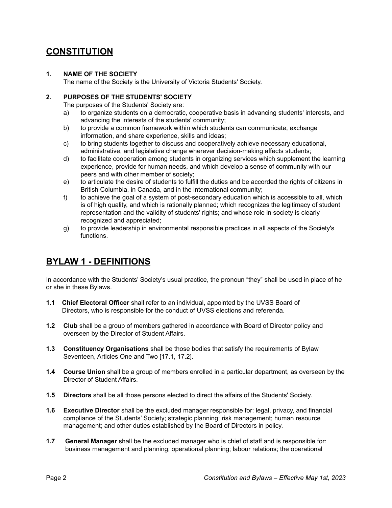### <span id="page-2-0"></span>**CONSTITUTION**

#### **1. NAME OF THE SOCIETY**

The name of the Society is the University of Victoria Students' Society.

#### **2. PURPOSES OF THE STUDENTS' SOCIETY**

The purposes of the Students' Society are:

- a) to organize students on a democratic, cooperative basis in advancing students' interests, and advancing the interests of the students' community;
- b) to provide a common framework within which students can communicate, exchange information, and share experience, skills and ideas;
- c) to bring students together to discuss and cooperatively achieve necessary educational, administrative, and legislative change wherever decision-making affects students;
- d) to facilitate cooperation among students in organizing services which supplement the learning experience, provide for human needs, and which develop a sense of community with our peers and with other member of society;
- e) to articulate the desire of students to fulfill the duties and be accorded the rights of citizens in British Columbia, in Canada, and in the international community;
- f) to achieve the goal of a system of post-secondary education which is accessible to all, which is of high quality, and which is rationally planned; which recognizes the legitimacy of student representation and the validity of students' rights; and whose role in society is clearly recognized and appreciated;
- g) to provide leadership in environmental responsible practices in all aspects of the Society's functions.

### **BYLAW 1 - DEFINITIONS**

In accordance with the Students' Society's usual practice, the pronoun "they" shall be used in place of he or she in these Bylaws.

- **1.1 Chief Electoral Officer** shall refer to an individual, appointed by the UVSS Board of Directors, who is responsible for the conduct of UVSS elections and referenda.
- **1.2 Club** shall be a group of members gathered in accordance with Board of Director policy and overseen by the Director of Student Affairs.
- **1.3 Constituency Organisations** shall be those bodies that satisfy the requirements of Bylaw Seventeen, Articles One and Two [17.1, 17.2].
- **1.4 Course Union** shall be a group of members enrolled in a particular department, as overseen by the Director of Student Affairs.
- **1.5 Directors** shall be all those persons elected to direct the affairs of the Students' Society.
- **1.6 Executive Director** shall be the excluded manager responsible for: legal, privacy, and financial compliance of the Students' Society; strategic planning; risk management; human resource management; and other duties established by the Board of Directors in policy.
- **1.7 General Manager** shall be the excluded manager who is chief of staff and is responsible for: business management and planning; operational planning; labour relations; the operational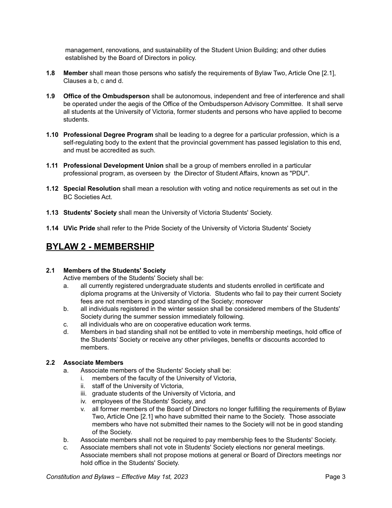management, renovations, and sustainability of the Student Union Building; and other duties established by the Board of Directors in policy.

- **1.8 Member** shall mean those persons who satisfy the requirements of Bylaw Two, Article One [2.1], Clauses a b, c and d.
- **1.9 Office of the Ombudsperson** shall be autonomous, independent and free of interference and shall be operated under the aegis of the Office of the Ombudsperson Advisory Committee. It shall serve all students at the University of Victoria, former students and persons who have applied to become students.
- **1.10 Professional Degree Program** shall be leading to a degree for a particular profession, which is a self-regulating body to the extent that the provincial government has passed legislation to this end, and must be accredited as such.
- **1.11 Professional Development Union** shall be a group of members enrolled in a particular professional program, as overseen by the Director of Student Affairs, known as "PDU".
- **1.12 Special Resolution** shall mean a resolution with voting and notice requirements as set out in the BC Societies Act.
- **1.13 Students' Society** shall mean the University of Victoria Students' Society.
- **1.14 UVic Pride** shall refer to the Pride Society of the University of Victoria Students' Society

### <span id="page-3-0"></span>**BYLAW 2 - MEMBERSHIP**

#### **2.1 Members of the Students' Society**

Active members of the Students' Society shall be:

- a. all currently registered undergraduate students and students enrolled in certificate and diploma programs at the University of Victoria. Students who fail to pay their current Society fees are not members in good standing of the Society; moreover
- b. all individuals registered in the winter session shall be considered members of the Students' Society during the summer session immediately following.
- c. all individuals who are on cooperative education work terms.
- d. Members in bad standing shall not be entitled to vote in membership meetings, hold office of the Students' Society or receive any other privileges, benefits or discounts accorded to members.

#### **2.2 Associate Members**

- a. Associate members of the Students' Society shall be:
	- i. members of the faculty of the University of Victoria,
		- ii. staff of the University of Victoria,
		- iii. graduate students of the University of Victoria, and
	- iv. employees of the Students' Society, and
	- v. all former members of the Board of Directors no longer fulfilling the requirements of Bylaw Two, Article One [2.1] who have submitted their name to the Society. Those associate members who have not submitted their names to the Society will not be in good standing of the Society.
- b. Associate members shall not be required to pay membership fees to the Students' Society.
- c. Associate members shall not vote in Students' Society elections nor general meetings. Associate members shall not propose motions at general or Board of Directors meetings nor hold office in the Students' Society.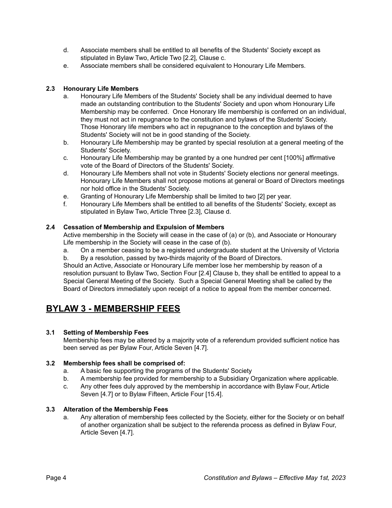- d. Associate members shall be entitled to all benefits of the Students' Society except as stipulated in Bylaw Two, Article Two [2.2], Clause c.
- e. Associate members shall be considered equivalent to Honourary Life Members.

#### **2.3 Honourary Life Members**

- a. Honourary Life Members of the Students' Society shall be any individual deemed to have made an outstanding contribution to the Students' Society and upon whom Honourary Life Membership may be conferred. Once Honorary life membership is conferred on an individual, they must not act in repugnance to the constitution and bylaws of the Students' Society. Those Honorary life members who act in repugnance to the conception and bylaws of the Students' Society will not be in good standing of the Society.
- b. Honourary Life Membership may be granted by special resolution at a general meeting of the Students' Society.
- c. Honourary Life Membership may be granted by a one hundred per cent [100%] affirmative vote of the Board of Directors of the Students' Society.
- d. Honourary Life Members shall not vote in Students' Society elections nor general meetings. Honourary Life Members shall not propose motions at general or Board of Directors meetings nor hold office in the Students' Society.
- e. Granting of Honourary Life Membership shall be limited to two [2] per year.
- f. Honourary Life Members shall be entitled to all benefits of the Students' Society, except as stipulated in Bylaw Two, Article Three [2.3], Clause d.

#### **2.4 Cessation of Membership and Expulsion of Members**

Active membership in the Society will cease in the case of (a) or (b), and Associate or Honourary Life membership in the Society will cease in the case of (b).

a. On a member ceasing to be a registered undergraduate student at the University of Victoria b. By a resolution, passed by two-thirds majority of the Board of Directors.

Should an Active, Associate or Honourary Life member lose her membership by reason of a resolution pursuant to Bylaw Two, Section Four [2.4] Clause b, they shall be entitled to appeal to a Special General Meeting of the Society. Such a Special General Meeting shall be called by the Board of Directors immediately upon receipt of a notice to appeal from the member concerned.

### <span id="page-4-0"></span>**BYLAW 3 - MEMBERSHIP FEES**

#### **3.1 Setting of Membership Fees**

Membership fees may be altered by a majority vote of a referendum provided sufficient notice has been served as per Bylaw Four, Article Seven [4.7].

#### **3.2 Membership fees shall be comprised of:**

- a. A basic fee supporting the programs of the Students' Society
- b. A membership fee provided for membership to a Subsidiary Organization where applicable.
- c. Any other fees duly approved by the membership in accordance with Bylaw Four, Article Seven [4.7] or to Bylaw Fifteen, Article Four [15.4].

#### **3.3 Alteration of the Membership Fees**

a. Any alteration of membership fees collected by the Society, either for the Society or on behalf of another organization shall be subject to the referenda process as defined in Bylaw Four, Article Seven [4.7].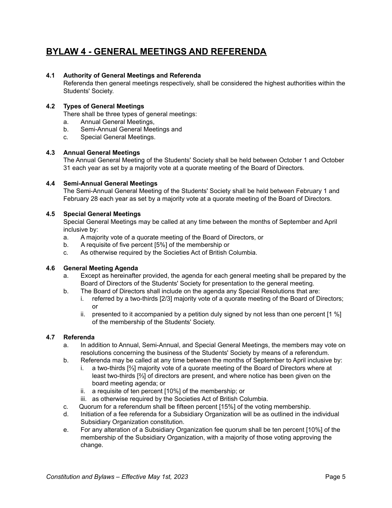### <span id="page-5-0"></span>**BYLAW 4 - GENERAL MEETINGS AND REFERENDA**

#### **4.1 Authority of General Meetings and Referenda**

Referenda then general meetings respectively, shall be considered the highest authorities within the Students' Society.

#### **4.2 Types of General Meetings**

There shall be three types of general meetings:

- a. Annual General Meetings,
- b. Semi-Annual General Meetings and
- c. Special General Meetings.

#### **4.3 Annual General Meetings**

The Annual General Meeting of the Students' Society shall be held between October 1 and October 31 each year as set by a majority vote at a quorate meeting of the Board of Directors.

#### **4.4 Semi-Annual General Meetings**

The Semi-Annual General Meeting of the Students' Society shall be held between February 1 and February 28 each year as set by a majority vote at a quorate meeting of the Board of Directors.

#### **4.5 Special General Meetings**

Special General Meetings may be called at any time between the months of September and April inclusive by:

- a. A majority vote of a quorate meeting of the Board of Directors, or
- b. A requisite of five percent [5%] of the membership or
- c. As otherwise required by the Societies Act of British Columbia.

#### **4.6 General Meeting Agenda**

- a. Except as hereinafter provided, the agenda for each general meeting shall be prepared by the Board of Directors of the Students' Society for presentation to the general meeting.
- b. The Board of Directors shall include on the agenda any Special Resolutions that are:
	- i. referred by a two-thirds [2/3] majority vote of a quorate meeting of the Board of Directors; or
	- ii. presented to it accompanied by a petition duly signed by not less than one percent [1 %] of the membership of the Students' Society.

#### **4.7 Referenda**

- a. In addition to Annual, Semi-Annual, and Special General Meetings, the members may vote on resolutions concerning the business of the Students' Society by means of a referendum.
- b. Referenda may be called at any time between the months of September to April inclusive by:
	- i. a two-thirds [⅔] majority vote of a quorate meeting of the Board of Directors where at least two-thirds [⅔] of directors are present, and where notice has been given on the board meeting agenda; or
		- ii. a requisite of ten percent [10%] of the membership; or
	- iii. as otherwise required by the Societies Act of British Columbia.
- c. Quorum for a referendum shall be fifteen percent [15%] of the voting membership.
- d. Initiation of a fee referenda for a Subsidiary Organization will be as outlined in the individual Subsidiary Organization constitution.
- e. For any alteration of a Subsidiary Organization fee quorum shall be ten percent [10%] of the membership of the Subsidiary Organization, with a majority of those voting approving the change.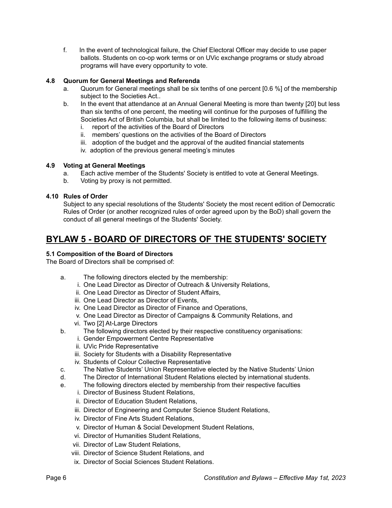f. In the event of technological failure, the Chief Electoral Officer may decide to use paper ballots. Students on co-op work terms or on UVic exchange programs or study abroad programs will have every opportunity to vote.

#### **4.8 Quorum for General Meetings and Referenda**

- a. Quorum for General meetings shall be six tenths of one percent [0.6 %] of the membership subject to the Societies Act..
- b. In the event that attendance at an Annual General Meeting is more than twenty [20] but less than six tenths of one percent, the meeting will continue for the purposes of fulfilling the Societies Act of British Columbia, but shall be limited to the following items of business:
	- i. report of the activities of the Board of Directors
	- ii. members' questions on the activities of the Board of Directors
	- iii. adoption of the budget and the approval of the audited financial statements
	- iv. adoption of the previous general meeting's minutes

#### **4.9 Voting at General Meetings**

- a. Each active member of the Students' Society is entitled to vote at General Meetings.
- b. Voting by proxy is not permitted.

#### **4.10 Rules of Order**

Subject to any special resolutions of the Students' Society the most recent edition of Democratic Rules of Order (or another recognized rules of order agreed upon by the BoD) shall govern the conduct of all general meetings of the Students' Society.

### <span id="page-6-0"></span>**BYLAW 5 - BOARD OF DIRECTORS OF THE STUDENTS' SOCIETY**

#### **5.1 Composition of the Board of Directors**

The Board of Directors shall be comprised of:

- a. The following directors elected by the membership:
	- i. One Lead Director as Director of Outreach & University Relations,
	- ii. One Lead Director as Director of Student Affairs,
	- iii. One Lead Director as Director of Events,
	- iv. One Lead Director as Director of Finance and Operations,
	- v. One Lead Director as Director of Campaigns & Community Relations, and
	- vi. Two [2] At-Large Directors
- b. The following directors elected by their respective constituency organisations:
	- i. Gender Empowerment Centre Representative
	- ii. UVic Pride Representative
	- iii. Society for Students with a Disability Representative
	- iv. Students of Colour Collective Representative
- c. The Native Students' Union Representative elected by the Native Students' Union
- d. The Director of International Student Relations elected by international students.
- e. The following directors elected by membership from their respective faculties
	- i. Director of Business Student Relations,
	- ii. Director of Education Student Relations,
	- iii. Director of Engineering and Computer Science Student Relations,
	- iv. Director of Fine Arts Student Relations,
	- v. Director of Human & Social Development Student Relations,
	- vi. Director of Humanities Student Relations,
	- vii. Director of Law Student Relations,
	- viii. Director of Science Student Relations, and
	- ix. Director of Social Sciences Student Relations.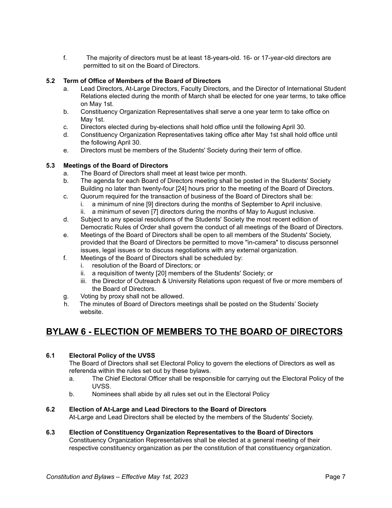f. The majority of directors must be at least 18-years-old. 16- or 17-year-old directors are permitted to sit on the Board of Directors.

#### **5.2 Term of Office of Members of the Board of Directors**

- a. Lead Directors, At-Large Directors, Faculty Directors, and the Director of International Student Relations elected during the month of March shall be elected for one year terms, to take office on May 1st.
- b. Constituency Organization Representatives shall serve a one year term to take office on May 1st.
- c. Directors elected during by-elections shall hold office until the following April 30.
- d. Constituency Organization Representatives taking office after May 1st shall hold office until the following April 30.
- e. Directors must be members of the Students' Society during their term of office.

#### **5.3 Meetings of the Board of Directors**

- a. The Board of Directors shall meet at least twice per month.
- b. The agenda for each Board of Directors meeting shall be posted in the Students' Society Building no later than twenty-four [24] hours prior to the meeting of the Board of Directors.
- c. Quorum required for the transaction of business of the Board of Directors shall be:
	- i. a minimum of nine [9] directors during the months of September to April inclusive.
	- ii. a minimum of seven [7] directors during the months of May to August inclusive.
- d. Subject to any special resolutions of the Students' Society the most recent edition of Democratic Rules of Order shall govern the conduct of all meetings of the Board of Directors.
- e. Meetings of the Board of Directors shall be open to all members of the Students' Society, provided that the Board of Directors be permitted to move "in-camera" to discuss personnel issues, legal issues or to discuss negotiations with any external organization.
- f. Meetings of the Board of Directors shall be scheduled by:
	- i. resolution of the Board of Directors; or
	- ii. a requisition of twenty [20] members of the Students' Society; or
	- iii. the Director of Outreach & University Relations upon request of five or more members of the Board of Directors.
- g. Voting by proxy shall not be allowed.
- h. The minutes of Board of Directors meetings shall be posted on the Students' Society website.

### <span id="page-7-0"></span>**BYLAW 6 - ELECTION OF MEMBERS TO THE BOARD OF DIRECTORS**

#### **6.1 Electoral Policy of the UVSS**

The Board of Directors shall set Electoral Policy to govern the elections of Directors as well as referenda within the rules set out by these bylaws.

- a. The Chief Electoral Officer shall be responsible for carrying out the Electoral Policy of the UVSS.
- b. Nominees shall abide by all rules set out in the Electoral Policy

#### **6.2 Election of At-Large and Lead Directors to the Board of Directors**

At-Large and Lead Directors shall be elected by the members of the Students' Society.

**6.3 Election of Constituency Organization Representatives to the Board of Directors** Constituency Organization Representatives shall be elected at a general meeting of their respective constituency organization as per the constitution of that constituency organization.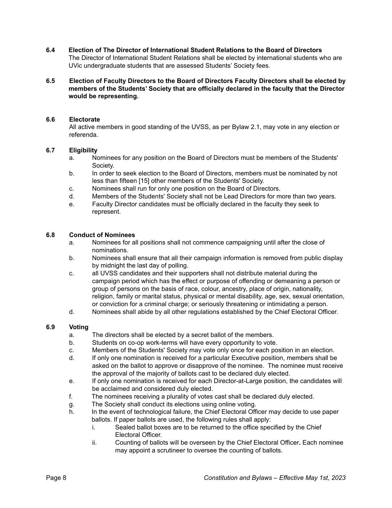**6.4 Election of The Director of International Student Relations to the Board of Directors** The Director of International Student Relations shall be elected by international students who are UVic undergraduate students that are assessed Students' Society fees.

#### **6.5 Election of Faculty Directors to the Board of Directors Faculty Directors shall be elected by members of the Students' Society that are officially declared in the faculty that the Director would be representing.**

#### **6.6 Electorate**

All active members in good standing of the UVSS, as per Bylaw 2.1, may vote in any election or referenda.

#### **6.7 Eligibility**

- a. Nominees for any position on the Board of Directors must be members of the Students' Society.
- b. In order to seek election to the Board of Directors, members must be nominated by not less than fifteen [15] other members of the Students' Society.
- c. Nominees shall run for only one position on the Board of Directors.
- d. Members of the Students' Society shall not be Lead Directors for more than two years.
- e. Faculty Director candidates must be officially declared in the faculty they seek to represent.

#### **6.8 Conduct of Nominees**

- a. Nominees for all positions shall not commence campaigning until after the close of nominations.
- b. Nominees shall ensure that all their campaign information is removed from public display by midnight the last day of polling.
- c. all UVSS candidates and their supporters shall not distribute material during the campaign period which has the effect or purpose of offending or demeaning a person or group of persons on the basis of race, colour, ancestry, place of origin, nationality, religion, family or marital status, physical or mental disability, age, sex, sexual orientation, or conviction for a criminal charge; or seriously threatening or intimidating a person.
- d. Nominees shall abide by all other regulations established by the Chief Electoral Officer.

#### **6.9 Voting**

- a. The directors shall be elected by a secret ballot of the members.
- b. Students on co-op work-terms will have every opportunity to vote.
- c. Members of the Students' Society may vote only once for each position in an election.
- d. If only one nomination is received for a particular Executive position, members shall be asked on the ballot to approve or disapprove of the nominee. The nominee must receive the approval of the majority of ballots cast to be declared duly elected.
- e. If only one nomination is received for each Director-at-Large position, the candidates will be acclaimed and considered duly elected.
- f. The nominees receiving a plurality of votes cast shall be declared duly elected.
- g. The Society shall conduct its elections using online voting.
- h. In the event of technological failure, the Chief Electoral Officer may decide to use paper ballots. If paper ballots are used, the following rules shall apply:
	- i. Sealed ballot boxes are to be returned to the office specified by the Chief Electoral Officer.
	- ii. Counting of ballots will be overseen by the Chief Electoral Officer**.** Each nominee may appoint a scrutineer to oversee the counting of ballots.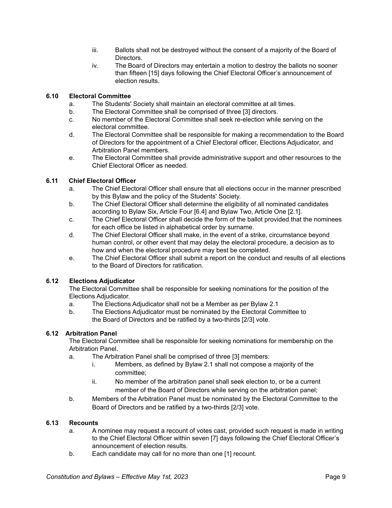- iii. Ballots shall not be destroyed without the consent of a majority of the Board of Directors.
- iv. The Board of Directors may entertain a motion to destroy the ballots no sooner than fifteen [15] days following the Chief Electoral Officer's announcement of election results.

#### **6.10 Electoral Committee**

- a. The Students' Society shall maintain an electoral committee at all times.
- b. The Electoral Committee shall be comprised of three [3] directors.
- c. No member of the Electoral Committee shall seek re-election while serving on the electoral committee.
- d. The Electoral Committee shall be responsible for making a recommendation to the Board of Directors for the appointment of a Chief Electoral officer, Elections Adjudicator, and Arbitration Panel members.
- e. The Electoral Committee shall provide administrative support and other resources to the Chief Electoral Officer as needed.

#### **6.11 Chief Electoral Officer**

- a. The Chief Electoral Officer shall ensure that all elections occur in the manner prescribed by this Bylaw and the policy of the Students' Society.
- b. The Chief Electoral Officer shall determine the eligibility of all nominated candidates according to Bylaw Six, Article Four [6.4] and Bylaw Two, Article One [2.1].
- c. The Chief Electoral Officer shall decide the form of the ballot provided that the nominees for each office be listed in alphabetical order by surname.
- d. The Chief Electoral Officer shall make, in the event of a strike, circumstance beyond human control, or other event that may delay the electoral procedure, a decision as to how and when the electoral procedure may best be completed.
- e. The Chief Electoral Officer shall submit a report on the conduct and results of all elections to the Board of Directors for ratification.

#### **6.12 Elections Adjudicator**

The Electoral Committee shall be responsible for seeking nominations for the position of the Elections Adjudicator.

- a. The Elections Adjudicator shall not be a Member as per Bylaw 2.1
- b. The Elections Adjudicator must be nominated by the Electoral Committee to the Board of Directors and be ratified by a two-thirds [2/3] vote.

#### **6.12 Arbitration Panel**

The Electoral Committee shall be responsible for seeking nominations for membership on the Arbitration Panel.

- a. The Arbitration Panel shall be comprised of three [3] members:
	- i. Members, as defined by Bylaw 2.1 shall not compose a majority of the committee;
	- ii. No member of the arbitration panel shall seek election to, or be a current member of the Board of Directors while serving on the arbitration panel;
- b. Members of the Arbitration Panel must be nominated by the Electoral Committee to the Board of Directors and be ratified by a two-thirds [2/3] vote.

#### **6.13 Recounts**

- a. A nominee may request a recount of votes cast, provided such request is made in writing to the Chief Electoral Officer within seven [7] days following the Chief Electoral Officer's announcement of election results.
- b. Each candidate may call for no more than one [1] recount.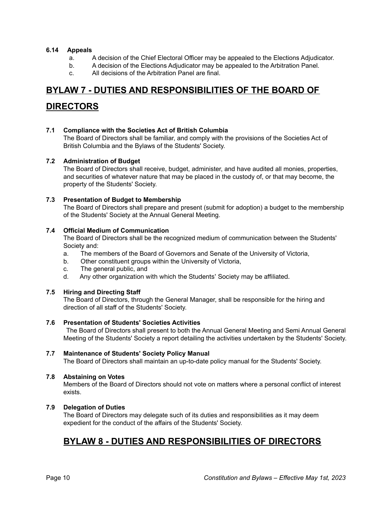#### **6.14 Appeals**

- a. A decision of the Chief Electoral Officer may be appealed to the Elections Adjudicator.
- b. A decision of the Elections Adjudicator may be appealed to the Arbitration Panel.
- c. All decisions of the Arbitration Panel are final.

### **BYLAW 7 - DUTIES AND RESPONSIBILITIES OF THE BOARD OF**

### <span id="page-10-0"></span>**DIRECTORS**

**7.1 Compliance with the Societies Act of British Columbia**

The Board of Directors shall be familiar, and comply with the provisions of the Societies Act of British Columbia and the Bylaws of the Students' Society.

#### **7.2 Administration of Budget**

The Board of Directors shall receive, budget, administer, and have audited all monies, properties, and securities of whatever nature that may be placed in the custody of, or that may become, the property of the Students' Society.

#### **7.3 Presentation of Budget to Membership**

The Board of Directors shall prepare and present (submit for adoption) a budget to the membership of the Students' Society at the Annual General Meeting.

#### **7.4 Official Medium of Communication**

The Board of Directors shall be the recognized medium of communication between the Students' Society and:

- a. The members of the Board of Governors and Senate of the University of Victoria,
- b. Other constituent groups within the University of Victoria,
- c. The general public, and
- d. Any other organization with which the Students' Society may be affiliated.

#### **7.5 Hiring and Directing Staff**

The Board of Directors, through the General Manager, shall be responsible for the hiring and direction of all staff of the Students' Society.

#### **7.6 Presentation of Students' Societies Activities**

The Board of Directors shall present to both the Annual General Meeting and Semi Annual General Meeting of the Students' Society a report detailing the activities undertaken by the Students' Society.

#### **7.7 Maintenance of Students' Society Policy Manual**

The Board of Directors shall maintain an up-to-date policy manual for the Students' Society.

#### **7.8 Abstaining on Votes**

Members of the Board of Directors should not vote on matters where a personal conflict of interest exists.

#### **7.9 Delegation of Duties**

The Board of Directors may delegate such of its duties and responsibilities as it may deem expedient for the conduct of the affairs of the Students' Society.

### <span id="page-10-1"></span>**BYLAW 8 - DUTIES AND RESPONSIBILITIES OF DIRECTORS**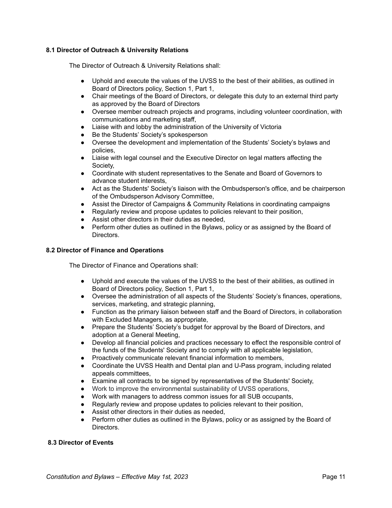#### **8.1 Director of Outreach & University Relations**

The Director of Outreach & University Relations shall:

- Uphold and execute the values of the UVSS to the best of their abilities, as outlined in Board of Directors policy, Section 1, Part 1,
- Chair meetings of the Board of Directors, or delegate this duty to an external third party as approved by the Board of Directors
- Oversee member outreach projects and programs, including volunteer coordination, with communications and marketing staff,
- Liaise with and lobby the administration of the University of Victoria
- Be the Students' Society's spokesperson
- Oversee the development and implementation of the Students' Society's bylaws and policies,
- Liaise with legal counsel and the Executive Director on legal matters affecting the Society,
- Coordinate with student representatives to the Senate and Board of Governors to advance student interests,
- Act as the Students' Society's liaison with the Ombudsperson's office, and be chairperson of the Ombudsperson Advisory Committee,
- Assist the Director of Campaigns & Community Relations in coordinating campaigns
- Regularly review and propose updates to policies relevant to their position,
- Assist other directors in their duties as needed,
- Perform other duties as outlined in the Bylaws, policy or as assigned by the Board of Directors.

#### **8.2 Director of Finance and Operations**

The Director of Finance and Operations shall:

- Uphold and execute the values of the UVSS to the best of their abilities, as outlined in Board of Directors policy, Section 1, Part 1,
- Oversee the administration of all aspects of the Students' Society's finances, operations, services, marketing, and strategic planning,
- Function as the primary liaison between staff and the Board of Directors, in collaboration with Excluded Managers, as appropriate,
- Prepare the Students' Society's budget for approval by the Board of Directors, and adoption at a General Meeting,
- Develop all financial policies and practices necessary to effect the responsible control of the funds of the Students' Society and to comply with all applicable legislation,
- Proactively communicate relevant financial information to members,
- Coordinate the UVSS Health and Dental plan and U-Pass program, including related appeals committees,
- Examine all contracts to be signed by representatives of the Students' Society,
- Work to improve the environmental sustainability of UVSS operations,
- Work with managers to address common issues for all SUB occupants,
- Regularly review and propose updates to policies relevant to their position,
- Assist other directors in their duties as needed,
- Perform other duties as outlined in the Bylaws, policy or as assigned by the Board of Directors.

#### **8.3 Director of Events**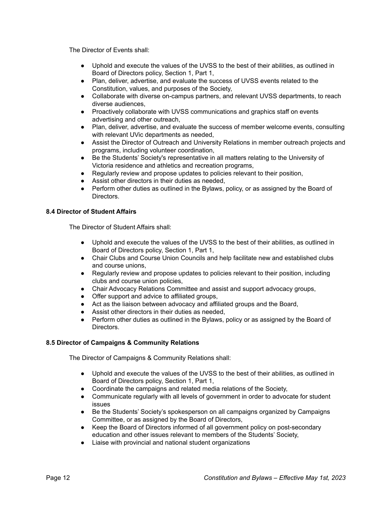The Director of Events shall:

- Uphold and execute the values of the UVSS to the best of their abilities, as outlined in Board of Directors policy, Section 1, Part 1,
- Plan, deliver, advertise, and evaluate the success of UVSS events related to the Constitution, values, and purposes of the Society,
- Collaborate with diverse on-campus partners, and relevant UVSS departments, to reach diverse audiences,
- Proactively collaborate with UVSS communications and graphics staff on events advertising and other outreach,
- Plan, deliver, advertise, and evaluate the success of member welcome events, consulting with relevant UVic departments as needed,
- Assist the Director of Outreach and University Relations in member outreach projects and programs, including volunteer coordination,
- Be the Students' Society's representative in all matters relating to the University of Victoria residence and athletics and recreation programs,
- Regularly review and propose updates to policies relevant to their position,
- Assist other directors in their duties as needed,
- Perform other duties as outlined in the Bylaws, policy, or as assigned by the Board of Directors.

#### **8.4 Director of Student Affairs**

The Director of Student Affairs shall:

- Uphold and execute the values of the UVSS to the best of their abilities, as outlined in Board of Directors policy, Section 1, Part 1,
- Chair Clubs and Course Union Councils and help facilitate new and established clubs and course unions,
- Regularly review and propose updates to policies relevant to their position, including clubs and course union policies,
- Chair Advocacy Relations Committee and assist and support advocacy groups,
- Offer support and advice to affiliated groups,
- Act as the liaison between advocacy and affiliated groups and the Board,
- Assist other directors in their duties as needed,
- Perform other duties as outlined in the Bylaws, policy or as assigned by the Board of Directors.

#### **8.5 Director of Campaigns & Community Relations**

The Director of Campaigns & Community Relations shall:

- Uphold and execute the values of the UVSS to the best of their abilities, as outlined in Board of Directors policy, Section 1, Part 1,
- Coordinate the campaigns and related media relations of the Society,
- Communicate regularly with all levels of government in order to advocate for student issues
- Be the Students' Society's spokesperson on all campaigns organized by Campaigns Committee, or as assigned by the Board of Directors,
- Keep the Board of Directors informed of all government policy on post-secondary education and other issues relevant to members of the Students' Society,
- Liaise with provincial and national student organizations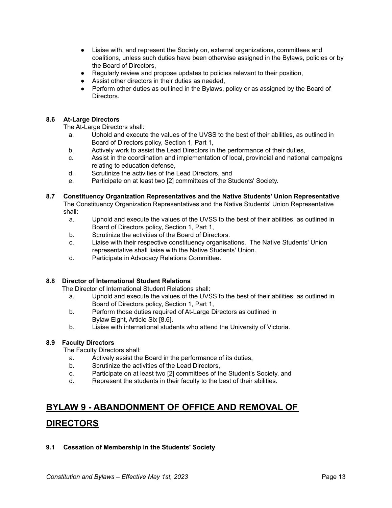- Liaise with, and represent the Society on, external organizations, committees and coalitions, unless such duties have been otherwise assigned in the Bylaws, policies or by the Board of Directors,
- Regularly review and propose updates to policies relevant to their position,
- Assist other directors in their duties as needed,
- Perform other duties as outlined in the Bylaws, policy or as assigned by the Board of Directors.

#### **8.6 At-Large Directors**

The At-Large Directors shall:

- a. Uphold and execute the values of the UVSS to the best of their abilities, as outlined in Board of Directors policy, Section 1, Part 1,
- b. Actively work to assist the Lead Directors in the performance of their duties,
- c. Assist in the coordination and implementation of local, provincial and national campaigns relating to education defense,
- d. Scrutinize the activities of the Lead Directors, and
- e. Participate on at least two [2] committees of the Students' Society.

#### **8.7 Constituency Organization Representatives and the Native Students' Union Representative** The Constituency Organization Representatives and the Native Students' Union Representative shall:

- a. Uphold and execute the values of the UVSS to the best of their abilities, as outlined in Board of Directors policy, Section 1, Part 1,
- b. Scrutinize the activities of the Board of Directors.
- c. Liaise with their respective constituency organisations. The Native Students' Union representative shall liaise with the Native Students' Union.
- d. Participate in Advocacy Relations Committee.

#### **8.8 Director of International Student Relations**

The Director of International Student Relations shall:

- a. Uphold and execute the values of the UVSS to the best of their abilities, as outlined in Board of Directors policy, Section 1, Part 1,
- b. Perform those duties required of At-Large Directors as outlined in Bylaw Eight, Article Six [8.6].
- b. Liaise with international students who attend the University of Victoria.

#### **8.9 Faculty Directors**

The Faculty Directors shall:

- a. Actively assist the Board in the performance of its duties,
- b. Scrutinize the activities of the Lead Directors,
- c. Participate on at least two [2] committees of the Student's Society, and
- d. Represent the students in their faculty to the best of their abilities.

## **BYLAW 9 - ABANDONMENT OF OFFICE AND REMOVAL OF**

### <span id="page-13-0"></span>**DIRECTORS**

#### **9.1 Cessation of Membership in the Students' Society**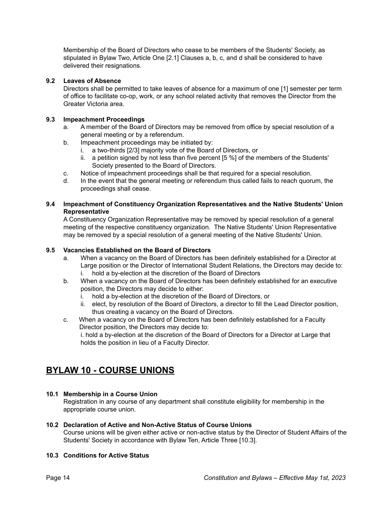Membership of the Board of Directors who cease to be members of the Students' Society, as stipulated in Bylaw Two, Article One [2.1] Clauses a, b, c, and d shall be considered to have delivered their resignations.

#### **9.2 Leaves of Absence**

Directors shall be permitted to take leaves of absence for a maximum of one [1] semester per term of office to facilitate co-op, work, or any school related activity that removes the Director from the Greater Victoria area.

#### **9.3 Impeachment Proceedings**

- a. A member of the Board of Directors may be removed from office by special resolution of a general meeting or by a referendum.
- b. Impeachment proceedings may be initiated by:
	- i. a two-thirds [2/3] majority vote of the Board of Directors, or
	- ii. a petition signed by not less than five percent [5 %] of the members of the Students' Society presented to the Board of Directors.
- c. Notice of impeachment proceedings shall be that required for a special resolution.
- d. In the event that the general meeting or referendum thus called fails to reach quorum, the proceedings shall cease.

#### **9.4 Impeachment of Constituency Organization Representatives and the Native Students' Union Representative**

A Constituency Organization Representative may be removed by special resolution of a general meeting of the respective constituency organization. The Native Students' Union Representative may be removed by a special resolution of a general meeting of the Native Students' Union.

#### **9.5 Vacancies Established on the Board of Directors**

- a. When a vacancy on the Board of Directors has been definitely established for a Director at Large position or the Director of International Student Relations, the Directors may decide to: i. hold a by-election at the discretion of the Board of Directors
- b. When a vacancy on the Board of Directors has been definitely established for an executive position, the Directors may decide to either:
	- i. hold a by-election at the discretion of the Board of Directors, or
	- ii. elect, by resolution of the Board of Directors, a director to fill the Lead Director position, thus creating a vacancy on the Board of Directors.
- c. When a vacancy on the Board of Directors has been definitely established for a Faculty Director position, the Directors may decide to: i. hold a by-election at the discretion of the Board of Directors for a Director at Large that holds the position in lieu of a Faculty Director.

### <span id="page-14-0"></span>**BYLAW 10 - COURSE UNIONS**

#### **10.1 Membership in a Course Union**

Registration in any course of any department shall constitute eligibility for membership in the appropriate course union.

#### **10.2 Declaration of Active and Non-Active Status of Course Unions**

Course unions will be given either active or non-active status by the Director of Student Affairs of the Students' Society in accordance with Bylaw Ten, Article Three [10.3].

#### **10.3 Conditions for Active Status**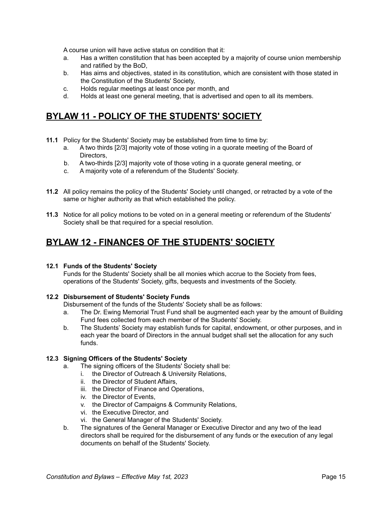A course union will have active status on condition that it:

- a. Has a written constitution that has been accepted by a majority of course union membership and ratified by the BoD,
- b. Has aims and objectives, stated in its constitution, which are consistent with those stated in the Constitution of the Students' Society,
- c. Holds regular meetings at least once per month, and
- d. Holds at least one general meeting, that is advertised and open to all its members.

### <span id="page-15-0"></span>**BYLAW 11 - POLICY OF THE STUDENTS' SOCIETY**

- **11.1** Policy for the Students' Society may be established from time to time by:
	- a. A two thirds [2/3] majority vote of those voting in a quorate meeting of the Board of Directors,
	- b. A two-thirds [2/3] majority vote of those voting in a quorate general meeting, or
	- c. A majority vote of a referendum of the Students' Society.
- **11.2** All policy remains the policy of the Students' Society until changed, or retracted by a vote of the same or higher authority as that which established the policy.
- **11.3** Notice for all policy motions to be voted on in a general meeting or referendum of the Students' Society shall be that required for a special resolution.

### <span id="page-15-1"></span>**BYLAW 12 - FINANCES OF THE STUDENTS' SOCIETY**

#### **12.1 Funds of the Students' Society**

Funds for the Students' Society shall be all monies which accrue to the Society from fees, operations of the Students' Society, gifts, bequests and investments of the Society.

#### **12.2 Disbursement of Students' Society Funds**

Disbursement of the funds of the Students' Society shall be as follows:

- a. The Dr. Ewing Memorial Trust Fund shall be augmented each year by the amount of Building Fund fees collected from each member of the Students' Society.
- b. The Students' Society may establish funds for capital, endowment, or other purposes, and in each year the board of Directors in the annual budget shall set the allocation for any such funds.

#### **12.3 Signing Officers of the Students' Society**

- a. The signing officers of the Students' Society shall be:
	- i. the Director of Outreach & University Relations,
	- ii. the Director of Student Affairs,
	- iii. the Director of Finance and Operations,
	- iv. the Director of Events,
	- v. the Director of Campaigns & Community Relations,
	- vi. the Executive Director, and
	- vi. the General Manager of the Students' Society.
- b. The signatures of the General Manager or Executive Director and any two of the lead directors shall be required for the disbursement of any funds or the execution of any legal documents on behalf of the Students' Society.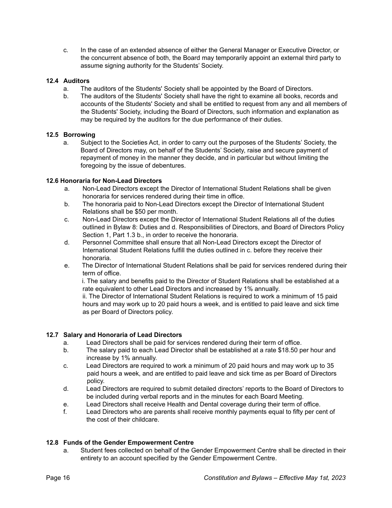c. In the case of an extended absence of either the General Manager or Executive Director, or the concurrent absence of both, the Board may temporarily appoint an external third party to assume signing authority for the Students' Society.

#### **12.4 Auditors**

- a. The auditors of the Students' Society shall be appointed by the Board of Directors.
- b. The auditors of the Students' Society shall have the right to examine all books, records and accounts of the Students' Society and shall be entitled to request from any and all members of the Students' Society, including the Board of Directors, such information and explanation as may be required by the auditors for the due performance of their duties.

#### **12.5 Borrowing**

a. Subject to the Societies Act, in order to carry out the purposes of the Students' Society, the Board of Directors may, on behalf of the Students' Society, raise and secure payment of repayment of money in the manner they decide, and in particular but without limiting the foregoing by the issue of debentures.

#### **12.6 Honoraria for Non-Lead Directors**

- a. Non-Lead Directors except the Director of International Student Relations shall be given honoraria for services rendered during their time in office.
- b. The honoraria paid to Non-Lead Directors except the Director of International Student Relations shall be \$50 per month.
- c. Non-Lead Directors except the Director of International Student Relations all of the duties outlined in Bylaw 8: Duties and d. Responsibilities of Directors, and Board of Directors Policy Section 1, Part 1.3 b., in order to receive the honoraria.
- d. Personnel Committee shall ensure that all Non-Lead Directors except the Director of International Student Relations fulfill the duties outlined in c. before they receive their honoraria.
- e. The Director of International Student Relations shall be paid for services rendered during their term of office.

i. The salary and benefits paid to the Director of Student Relations shall be established at a rate equivalent to other Lead Directors and increased by 1% annually.

ii. The Director of International Student Relations is required to work a minimum of 15 paid hours and may work up to 20 paid hours a week, and is entitled to paid leave and sick time as per Board of Directors policy.

#### **12.7 Salary and Honoraria of Lead Directors**

- a. Lead Directors shall be paid for services rendered during their term of office.
- b. The salary paid to each Lead Director shall be established at a rate \$18.50 per hour and increase by 1% annually.
- c. Lead Directors are required to work a minimum of 20 paid hours and may work up to 35 paid hours a week, and are entitled to paid leave and sick time as per Board of Directors policy.
- d. Lead Directors are required to submit detailed directors' reports to the Board of Directors to be included during verbal reports and in the minutes for each Board Meeting.
- e. Lead Directors shall receive Health and Dental coverage during their term of office.
- f. Lead Directors who are parents shall receive monthly payments equal to fifty per cent of the cost of their childcare.

#### **12.8 Funds of the Gender Empowerment Centre**

a. Student fees collected on behalf of the Gender Empowerment Centre shall be directed in their entirety to an account specified by the Gender Empowerment Centre.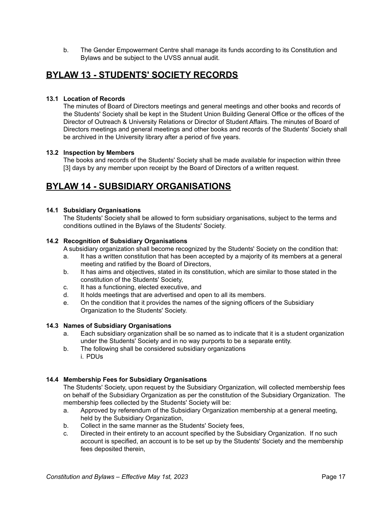b. The Gender Empowerment Centre shall manage its funds according to its Constitution and Bylaws and be subject to the UVSS annual audit.

### <span id="page-17-0"></span>**BYLAW 13 - STUDENTS' SOCIETY RECORDS**

#### **13.1 Location of Records**

The minutes of Board of Directors meetings and general meetings and other books and records of the Students' Society shall be kept in the Student Union Building General Office or the offices of the Director of Outreach & University Relations or Director of Student Affairs. The minutes of Board of Directors meetings and general meetings and other books and records of the Students' Society shall be archived in the University library after a period of five years.

#### **13.2 Inspection by Members**

The books and records of the Students' Society shall be made available for inspection within three [3] days by any member upon receipt by the Board of Directors of a written request.

### <span id="page-17-1"></span>**BYLAW 14 - SUBSIDIARY ORGANISATIONS**

#### **14.1 Subsidiary Organisations**

The Students' Society shall be allowed to form subsidiary organisations, subject to the terms and conditions outlined in the Bylaws of the Students' Society.

#### **14.2 Recognition of Subsidiary Organisations**

A subsidiary organization shall become recognized by the Students' Society on the condition that:

- a. It has a written constitution that has been accepted by a majority of its members at a general meeting and ratified by the Board of Directors,
- b. It has aims and objectives, stated in its constitution, which are similar to those stated in the constitution of the Students' Society,
- c. It has a functioning, elected executive, and
- d. It holds meetings that are advertised and open to all its members.
- e. On the condition that it provides the names of the signing officers of the Subsidiary Organization to the Students' Society.

#### **14.3 Names of Subsidiary Organisations**

- a. Each subsidiary organization shall be so named as to indicate that it is a student organization under the Students' Society and in no way purports to be a separate entity.
- b. The following shall be considered subsidiary organizations i. PDUs

#### **14.4 Membership Fees for Subsidiary Organisations**

The Students' Society, upon request by the Subsidiary Organization, will collected membership fees on behalf of the Subsidiary Organization as per the constitution of the Subsidiary Organization. The membership fees collected by the Students' Society will be:

- a. Approved by referendum of the Subsidiary Organization membership at a general meeting, held by the Subsidiary Organization,
- b. Collect in the same manner as the Students' Society fees,
- c. Directed in their entirety to an account specified by the Subsidiary Organization. If no such account is specified, an account is to be set up by the Students' Society and the membership fees deposited therein,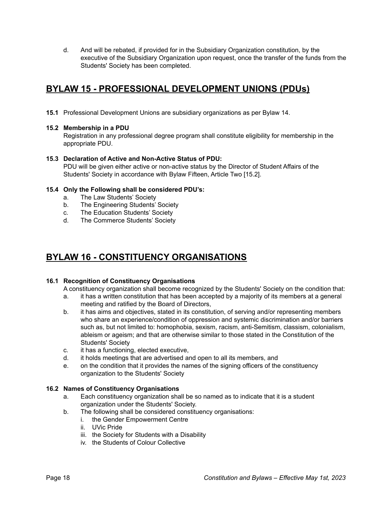d. And will be rebated, if provided for in the Subsidiary Organization constitution, by the executive of the Subsidiary Organization upon request, once the transfer of the funds from the Students' Society has been completed.

### <span id="page-18-0"></span>**BYLAW 15 - PROFESSIONAL DEVELOPMENT UNIONS (PDUs)**

**15.1** Professional Development Unions are subsidiary organizations as per Bylaw 14.

#### **15.2 Membership in a PDU**

Registration in any professional degree program shall constitute eligibility for membership in the appropriate PDU.

#### **15.3 Declaration of Active and Non-Active Status of PDU:**

PDU will be given either active or non-active status by the Director of Student Affairs of the Students' Society in accordance with Bylaw Fifteen, Article Two [15.2].

#### **15.4 Only the Following shall be considered PDU's:**

- a. The Law Students' Society
- b. The Engineering Students' Society
- c. The Education Students' Society
- d. The Commerce Students' Society

### <span id="page-18-1"></span>**BYLAW 16 - CONSTITUENCY ORGANISATIONS**

#### **16.1 Recognition of Constituency Organisations**

A constituency organization shall become recognized by the Students' Society on the condition that:

- a. it has a written constitution that has been accepted by a majority of its members at a general meeting and ratified by the Board of Directors,
- b. it has aims and objectives, stated in its constitution, of serving and/or representing members who share an experience/condition of oppression and systemic discrimination and/or barriers such as, but not limited to: homophobia, sexism, racism, anti-Semitism, classism, colonialism, ableism or ageism; and that are otherwise similar to those stated in the Constitution of the Students' Society
- c. it has a functioning, elected executive,
- d. it holds meetings that are advertised and open to all its members, and
- e. on the condition that it provides the names of the signing officers of the constituency organization to the Students' Society

#### **16.2 Names of Constituency Organisations**

- a. Each constituency organization shall be so named as to indicate that it is a student organization under the Students' Society.
- b. The following shall be considered constituency organisations:
	- i. the Gender Empowerment Centre
	- ii. UVic Pride
	- iii. the Society for Students with a Disability
	- iv. the Students of Colour Collective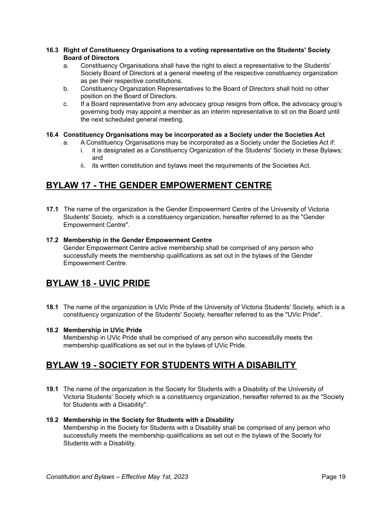#### **16.3 Right of Constituency Organisations to a voting representative on the Students' Society Board of Directors**

- a. Constituency Organisations shall have the right to elect a representative to the Students' Society Board of Directors at a general meeting of the respective constituency organization as per their respective constitutions.
- b. Constituency Organization Representatives to the Board of Directors shall hold no other position on the Board of Directors.
- c. If a Board representative from any advocacy group resigns from office, the advocacy group's governing body may appoint a member as an interim representative to sit on the Board until the next scheduled general meeting.

#### **16.4 Constituency Organisations may be incorporated as a Society under the Societies Act**

- a. A Constituency Organisations may be incorporated as a Society under the Societies Act if:
	- i. it is designated as a Constituency Organization of the Students' Society in these Bylaws; and
	- ii. its written constitution and bylaws meet the requirements of the Societies Act.

### <span id="page-19-0"></span>**BYLAW 17 - THE GENDER EMPOWERMENT CENTRE**

**17.1** The name of the organization is the Gender Empowerment Centre of the University of Victoria Students' Society, which is a constituency organization, hereafter referred to as the "Gender Empowerment Centre".

#### **17.2 Membership in the Gender Empowerment Centre**

Gender Empowerment Centre active membership shall be comprised of any person who successfully meets the membership qualifications as set out in the bylaws of the Gender Empowerment Centre.

### <span id="page-19-1"></span>**BYLAW 18 - UVIC PRIDE**

**18.1** The name of the organization is UVic Pride of the University of Victoria Students' Society, which is a constituency organization of the Students' Society, hereafter referred to as the "UVic Pride".

#### **18.2 Membership in UVic Pride**

Membership in UVic Pride shall be comprised of any person who successfully meets the membership qualifications as set out in the bylaws of UVic Pride.

### <span id="page-19-2"></span>**BYLAW 19 - SOCIETY FOR STUDENTS WITH A DISABILITY**

**19.1** The name of the organization is the Society for Students with a Disability of the University of Victoria Students' Society which is a constituency organization, hereafter referred to as the "Society for Students with a Disability".

#### **19.2 Membership in the Society for Students with a Disability**

Membership in the Society for Students with a Disability shall be comprised of any person who successfully meets the membership qualifications as set out in the bylaws of the Society for Students with a Disability.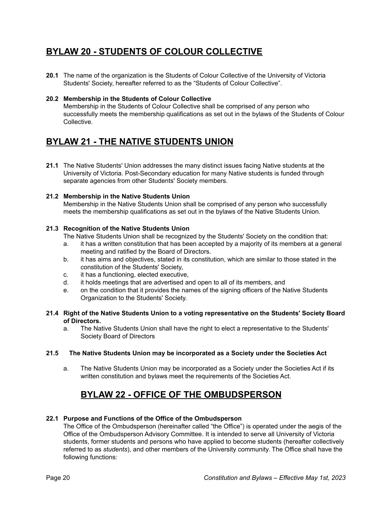### <span id="page-20-0"></span>**BYLAW 20 - STUDENTS OF COLOUR COLLECTIVE**

**20.1** The name of the organization is the Students of Colour Collective of the University of Victoria Students' Society, hereafter referred to as the "Students of Colour Collective".

#### **20.2 Membership in the Students of Colour Collective**

Membership in the Students of Colour Collective shall be comprised of any person who successfully meets the membership qualifications as set out in the bylaws of the Students of Colour Collective.

### <span id="page-20-1"></span>**BYLAW 21 - THE NATIVE STUDENTS UNION**

**21.1** The Native Students' Union addresses the many distinct issues facing Native students at the University of Victoria. Post-Secondary education for many Native students is funded through separate agencies from other Students' Society members.

#### **21.2 Membership in the Native Students Union**

Membership in the Native Students Union shall be comprised of any person who successfully meets the membership qualifications as set out in the bylaws of the Native Students Union.

#### **21.3 Recognition of the Native Students Union**

The Native Students Union shall be recognized by the Students' Society on the condition that:

- a. it has a written constitution that has been accepted by a majority of its members at a general meeting and ratified by the Board of Directors.
- b. it has aims and objectives, stated in its constitution, which are similar to those stated in the constitution of the Students' Society,
- c. it has a functioning, elected executive,
- d. it holds meetings that are advertised and open to all of its members, and
- e. on the condition that it provides the names of the signing officers of the Native Students Organization to the Students' Society.

#### **21.4 Right of the Native Students Union to a voting representative on the Students' Society Board of Directors.**

a. The Native Students Union shall have the right to elect a representative to the Students' Society Board of Directors

#### **21.5 The Native Students Union may be incorporated as a Society under the Societies Act**

a. The Native Students Union may be incorporated as a Society under the Societies Act if its written constitution and bylaws meet the requirements of the Societies Act.

### **BYLAW 22 - OFFICE OF THE OMBUDSPERSON**

#### <span id="page-20-2"></span>**22.1 Purpose and Functions of the Office of the Ombudsperson**

The Office of the Ombudsperson (hereinafter called "the Office") is operated under the aegis of the Office of the Ombudsperson Advisory Committee. It is intended to serve all University of Victoria students, former students and persons who have applied to become students (hereafter collectively referred to as *students*), and other members of the University community. The Office shall have the following functions: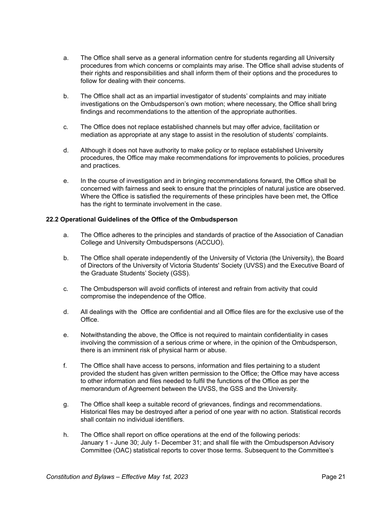- a. The Office shall serve as a general information centre for students regarding all University procedures from which concerns or complaints may arise. The Office shall advise students of their rights and responsibilities and shall inform them of their options and the procedures to follow for dealing with their concerns.
- b. The Office shall act as an impartial investigator of students' complaints and may initiate investigations on the Ombudsperson's own motion; where necessary, the Office shall bring findings and recommendations to the attention of the appropriate authorities.
- c. The Office does not replace established channels but may offer advice, facilitation or mediation as appropriate at any stage to assist in the resolution of students' complaints.
- d. Although it does not have authority to make policy or to replace established University procedures, the Office may make recommendations for improvements to policies, procedures and practices.
- e. In the course of investigation and in bringing recommendations forward, the Office shall be concerned with fairness and seek to ensure that the principles of natural justice are observed. Where the Office is satisfied the requirements of these principles have been met, the Office has the right to terminate involvement in the case.

#### **22.2 Operational Guidelines of the Office of the Ombudsperson**

- a. The Office adheres to the principles and standards of practice of the Association of Canadian College and University Ombudspersons (ACCUO).
- b. The Office shall operate independently of the University of Victoria (the University), the Board of Directors of the University of Victoria Students' Society (UVSS) and the Executive Board of the Graduate Students' Society (GSS).
- c. The Ombudsperson will avoid conflicts of interest and refrain from activity that could compromise the independence of the Office.
- d. All dealings with the Office are confidential and all Office files are for the exclusive use of the Office.
- e. Notwithstanding the above, the Office is not required to maintain confidentiality in cases involving the commission of a serious crime or where, in the opinion of the Ombudsperson, there is an imminent risk of physical harm or abuse.
- f. The Office shall have access to persons, information and files pertaining to a student provided the student has given written permission to the Office; the Office may have access to other information and files needed to fulfil the functions of the Office as per the memorandum of Agreement between the UVSS, the GSS and the University.
- g. The Office shall keep a suitable record of grievances, findings and recommendations. Historical files may be destroyed after a period of one year with no action. Statistical records shall contain no individual identifiers.
- h. The Office shall report on office operations at the end of the following periods: January 1 - June 30; July 1- December 31; and shall file with the Ombudsperson Advisory Committee (OAC) statistical reports to cover those terms. Subsequent to the Committee's